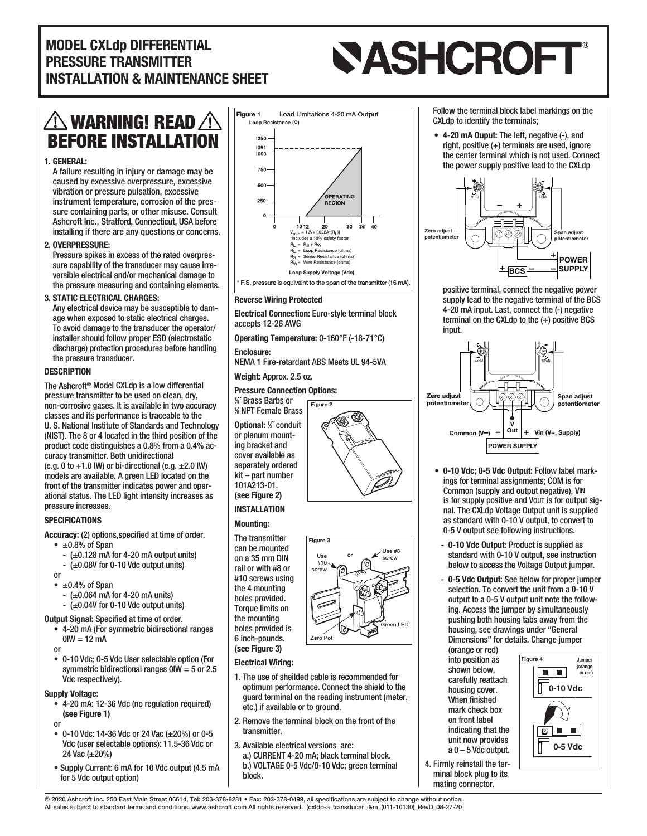### MODEL CXLdp DIFFERENTIAL PRESSURE TRANSMITTER INSTALLATION & MAINTENANCE SHEET

# **SASHCROFT®**

## $\bigtriangleup$  warning! Read  $\bigtriangleup$ BEFORE INSTALLATION

#### 1. GENERAL:

A failure resulting in injury or damage may be caused by excessive overpressure, excessive vibration or pressure pulsation, excessive instrument temperature, corrosion of the pressure containing parts, or other misuse. Consult Ashcroft Inc., Stratford, Connecticut, USA before installing if there are any questions or concerns.

#### 2. OVERPRESSURE:

Pressure spikes in excess of the rated overpressure capability of the transducer may cause irreversible electrical and/or mechanical damage to the pressure measuring and containing elements.

#### 3. STATIC ELECTRICAL CHARGES:

Any electrical device may be susceptible to damage when exposed to static electrical charges. To avoid damage to the transducer the operator/ installer should follow proper ESD (electrostatic discharge) protection procedures before handling the pressure transducer.

#### **DESCRIPTION**

The Ashcroft<sup>®</sup> Model CXLdp is a low differential pressure transmitter to be used on clean, dry, non-corrosive gases. It is available in two accuracy classes and its performance is traceable to the U. S. National Institute of Standards and Technology (NIST). The 8 or 4 located in the third position of the product code distinguishes a 0.8% from a 0.4% accuracy transmitter. Both unidirectional (e.g. 0 to  $+1.0$  IW) or bi-directional (e.g.  $\pm 2.0$  IW) models are available. A green LED located on the front of the transmitter indicates power and operational status. The LED light intensity increases as pressure increases.

#### **SPECIFICATIONS**

Accuracy: (2) options,specified at time of order.

- $\cdot$   $\pm$ 0.8% of Span
- $-$  ( $\pm$ 0.128 mA for 4-20 mA output units)
- $-$  ( $\pm$ 0.08V for 0-10 Vdc output units)
- or  $\cdot \pm 0.4\%$  of Span
- $-$  ( $\pm$ 0.064 mA for 4-20 mA units)
- $-$  ( $\pm$ 0.04V for 0-10 Vdc output units)
- **Output Signal: Specified at time of order.** 
	- 4-20 mA (For symmetric bidirectional ranges  $0$ IW = 12 mA

or

• 0-10 Vdc; 0-5 Vdc User selectable option (For symmetric bidirectional ranges  $0$ IW = 5 or 2.5 Vdc respectively).

#### Supply Voltage:

• 4-20 mA: 12-36 Vdc (no regulation required) (see Figure 1)

or

- 0-10 Vdc: 14-36 Vdc or 24 Vac  $(\pm 20\%)$  or 0-5 Vdc (user selectable options): 11.5-36 Vdc or 24 Vac (±20%)
- Supply Current: 6 mA for 10 Vdc output (4.5 mA for 5 Vdc output option)



#### Reverse Wiring Protected

Electrical Connection: Euro-style terminal block accepts 12-26 AWG

Figure 2

Operating Temperature: 0-160°F (-18-71°C)

Enclosure: NEMA 1 Fire-retardant ABS Meets UL 94-5VA

Weight: Approx. 2.5 oz.

#### Pressure Connection Options:

1 ⁄4˝ Brass Barbs or 1 ⁄8 NPT Female Brass Optional: <sup>1</sup> ⁄2˝ conduit or plenum mounting bracket and cover available as separately ordered kit – part number 101A213-01. (see Figure 2)

#### INSTALLATION

#### Mounting:

The transmitter can be mounted on a 35 mm DIN rail or with #8 or #10 screws using the 4 mounting holes provided. Torque limits on the mounting holes provided is 6 inch-pounds. (see Figure 3)

#### Electrical Wiring:

1. The use of sheilded cable is recommended for optimum performance. Connect the shield to the guard terminal on the reading instrument (meter, etc.) if available or to ground.

Zero Pot

Green LED

Use #8  $\sim$  screw

Figure 3

Use #10 screw

- 2. Remove the terminal block on the front of the transmitter.
- 3. Available electrical versions are: a.) CURRENT 4-20 mA; black terminal block. b.) VOLTAGE 0-5 Vdc/0-10 Vdc; green terminal block.



• 4-20 mA Ouput: The left, negative (-), and right, positive (+) terminals are used, ignore the center terminal which is not used. Connect the power supply positive lead to the CXLdp



positive terminal, connect the negative power supply lead to the negative terminal of the BCS 4-20 mA input. Last, connect the (-) negative terminal on the CXLdp to the (+) positive BCS input.



- 0-10 Vdc; 0-5 Vdc Output: Follow label markings for terminal assignments; COM is for Common (supply and output negative), VIN is for supply positive and VOUT is for output signal. The CXLdp Voltage Output unit is supplied as standard with 0-10 V output, to convert to 0-5 V output see following instructions.
- 0-10 Vdc Output: Product is supplied as standard with 0-10 V output, see instruction below to access the Voltage Output jumper.
- 0-5 Vdc Output: See below for proper jumper selection. To convert the unit from a 0-10 V output to a 0-5 V output unit note the following. Access the jumper by simultaneously pushing both housing tabs away from the housing, see drawings under "General **1.250˝** Dimensions" for details. Change jumper

(orange or red) into position as shown below, carefully reattach housing cover. When finished mark check box **1.500˝** on front label indicating that the unit now provides  $a 0 - 5$  Vdc output.

4. Firmly reinstall the terminal block plug to its mating connector.



© 2020 Ashcroft Inc. 250 East Main Street 06614, Tel: 203-378-8281 • Fax: 203-378-0499, all specifications are subject to change without notice. All sales subject to standard terms and conditions. www.ashcroft.com All rights reserved. (cxldp-a\_transducer\_i&m\_(011-10130)\_RevD\_08-27-20